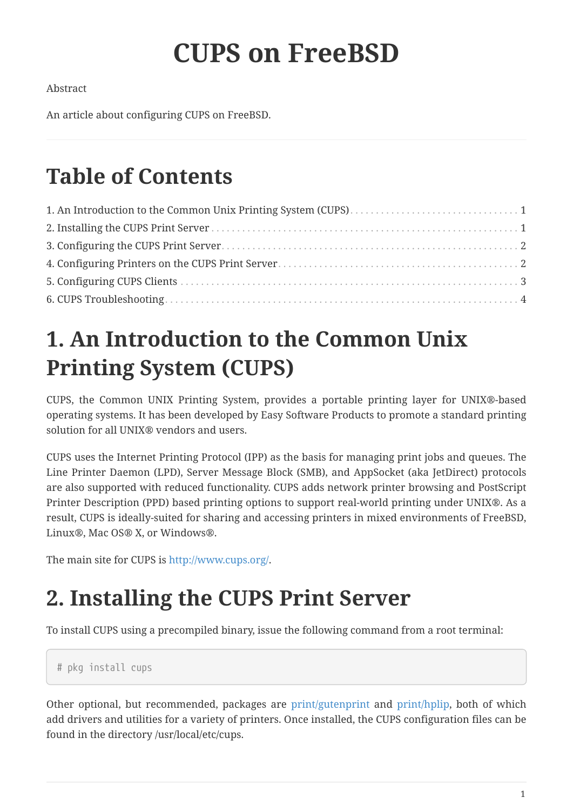# **CUPS on FreeBSD**

Abstract

An article about configuring CUPS on FreeBSD.

### **Table of Contents**

### <span id="page-0-0"></span>**1. An Introduction to the Common Unix Printing System (CUPS)**

CUPS, the Common UNIX Printing System, provides a portable printing layer for UNIX®-based operating systems. It has been developed by Easy Software Products to promote a standard printing solution for all UNIX® vendors and users.

CUPS uses the Internet Printing Protocol (IPP) as the basis for managing print jobs and queues. The Line Printer Daemon (LPD), Server Message Block (SMB), and AppSocket (aka JetDirect) protocols are also supported with reduced functionality. CUPS adds network printer browsing and PostScript Printer Description (PPD) based printing options to support real-world printing under UNIX®. As a result, CUPS is ideally-suited for sharing and accessing printers in mixed environments of FreeBSD, Linux®, Mac OS® X, or Windows®.

The main site for CUPS is <http://www.cups.org/>.

## <span id="page-0-1"></span>**2. Installing the CUPS Print Server**

To install CUPS using a precompiled binary, issue the following command from a root terminal:

# pkg install cups

Other optional, but recommended, packages are [print/gutenprint](https://cgit.freebsd.org/ports/tree/print/gutenprint/pkg-descr) and [print/hplip,](https://cgit.freebsd.org/ports/tree/print/hplip/pkg-descr) both of which add drivers and utilities for a variety of printers. Once installed, the CUPS configuration files can be found in the directory /usr/local/etc/cups.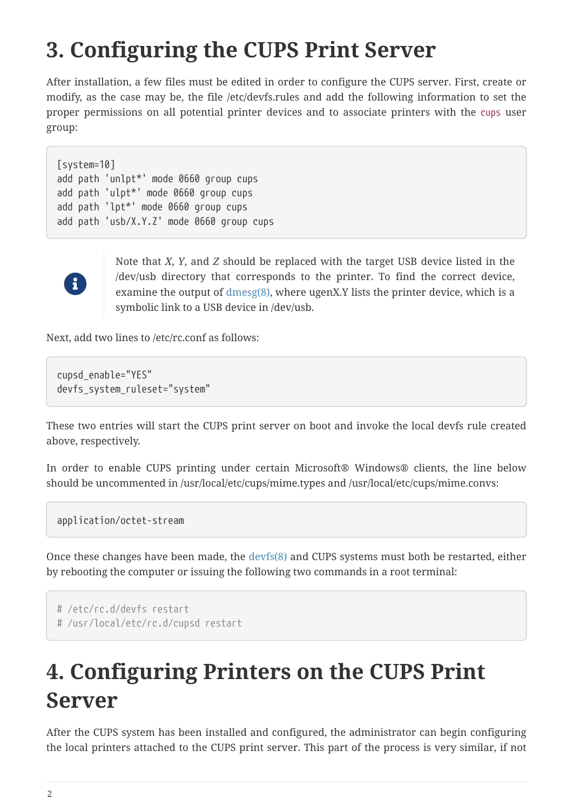### <span id="page-1-0"></span>**3. Configuring the CUPS Print Server**

After installation, a few files must be edited in order to configure the CUPS server. First, create or modify, as the case may be, the file /etc/devfs.rules and add the following information to set the proper permissions on all potential printer devices and to associate printers with the cups user group:

[system=10] add path 'unlpt\*' mode 0660 group cups add path 'ulpt\*' mode 0660 group cups add path 'lpt\*' mode 0660 group cups add path 'usb/X.Y.Z' mode 0660 group cups



Note that *X*, *Y*, and *Z* should be replaced with the target USB device listed in the /dev/usb directory that corresponds to the printer. To find the correct device, examine the output of  $d$ mesg $(8)$ , where ugenX.Y lists the printer device, which is a symbolic link to a USB device in /dev/usb.

Next, add two lines to /etc/rc.conf as follows:

cupsd\_enable="YES" devfs\_system\_ruleset="system"

These two entries will start the CUPS print server on boot and invoke the local devfs rule created above, respectively.

In order to enable CUPS printing under certain Microsoft® Windows® clients, the line below should be uncommented in /usr/local/etc/cups/mime.types and /usr/local/etc/cups/mime.convs:

application/octet-stream

Once these changes have been made, the [devfs\(8\)](https://www.freebsd.org/cgi/man.cgi?query=devfs&sektion=8&format=html) and CUPS systems must both be restarted, either by rebooting the computer or issuing the following two commands in a root terminal:

```
# /etc/rc.d/devfs restart
```
# /usr/local/etc/rc.d/cupsd restart

#### <span id="page-1-1"></span>**4. Configuring Printers on the CUPS Print Server**

After the CUPS system has been installed and configured, the administrator can begin configuring the local printers attached to the CUPS print server. This part of the process is very similar, if not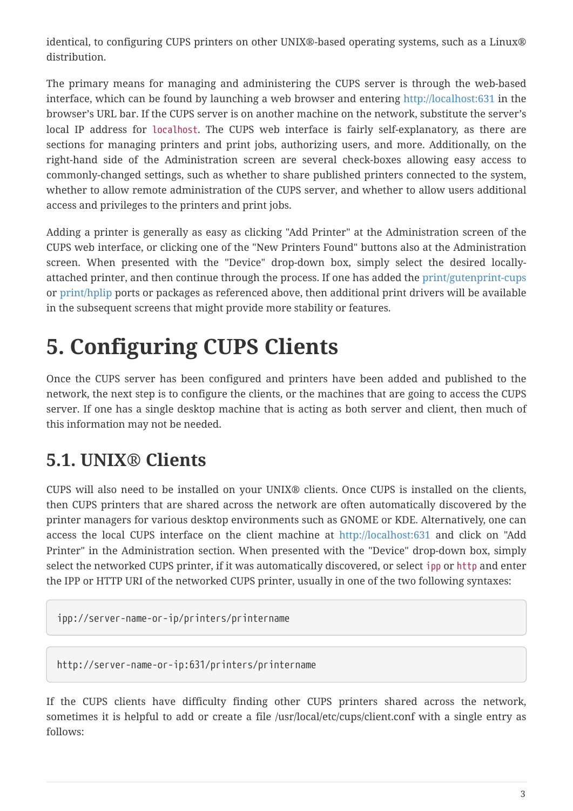identical, to configuring CUPS printers on other UNIX®-based operating systems, such as a Linux® distribution.

The primary means for managing and administering the CUPS server is through the web-based interface, which can be found by launching a web browser and entering <http://localhost:631> in the browser's URL bar. If the CUPS server is on another machine on the network, substitute the server's local IP address for localhost. The CUPS web interface is fairly self-explanatory, as there are sections for managing printers and print jobs, authorizing users, and more. Additionally, on the right-hand side of the Administration screen are several check-boxes allowing easy access to commonly-changed settings, such as whether to share published printers connected to the system, whether to allow remote administration of the CUPS server, and whether to allow users additional access and privileges to the printers and print jobs.

Adding a printer is generally as easy as clicking "Add Printer" at the Administration screen of the CUPS web interface, or clicking one of the "New Printers Found" buttons also at the Administration screen. When presented with the "Device" drop-down box, simply select the desired locallyattached printer, and then continue through the process. If one has added the [print/gutenprint-cups](https://cgit.freebsd.org/ports/tree/print/gutenprint-cups/pkg-descr) or [print/hplip](https://cgit.freebsd.org/ports/tree/print/hplip/pkg-descr) ports or packages as referenced above, then additional print drivers will be available in the subsequent screens that might provide more stability or features.

### <span id="page-2-0"></span>**5. Configuring CUPS Clients**

Once the CUPS server has been configured and printers have been added and published to the network, the next step is to configure the clients, or the machines that are going to access the CUPS server. If one has a single desktop machine that is acting as both server and client, then much of this information may not be needed.

#### **5.1. UNIX® Clients**

CUPS will also need to be installed on your UNIX® clients. Once CUPS is installed on the clients, then CUPS printers that are shared across the network are often automatically discovered by the printer managers for various desktop environments such as GNOME or KDE. Alternatively, one can access the local CUPS interface on the client machine at <http://localhost:631> and click on "Add Printer" in the Administration section. When presented with the "Device" drop-down box, simply select the networked CUPS printer, if it was automatically discovered, or select ipp or http and enter the IPP or HTTP URI of the networked CUPS printer, usually in one of the two following syntaxes:

ipp://server-name-or-ip/printers/printername

http://server-name-or-ip:631/printers/printername

If the CUPS clients have difficulty finding other CUPS printers shared across the network, sometimes it is helpful to add or create a file /usr/local/etc/cups/client.conf with a single entry as follows: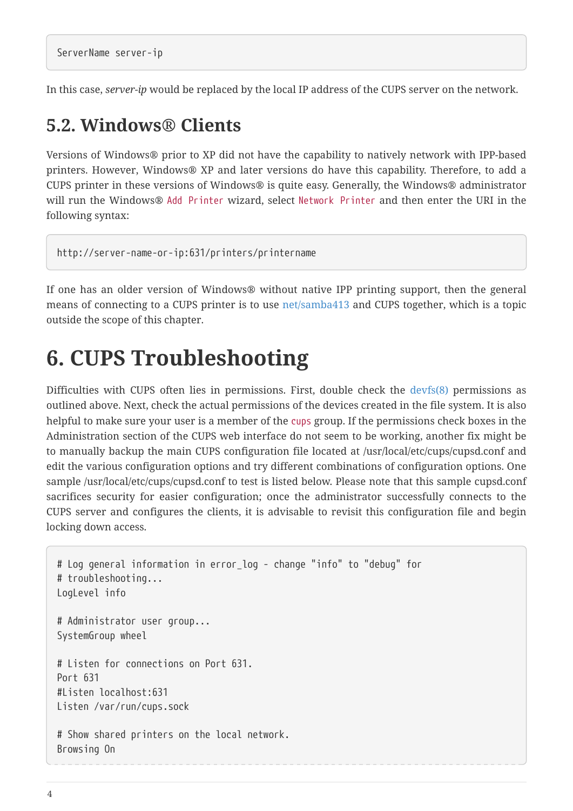In this case, *server-ip* would be replaced by the local IP address of the CUPS server on the network.

#### **5.2. Windows® Clients**

Versions of Windows® prior to XP did not have the capability to natively network with IPP-based printers. However, Windows® XP and later versions do have this capability. Therefore, to add a CUPS printer in these versions of Windows® is quite easy. Generally, the Windows® administrator will run the Windows® Add Printer wizard, select Network Printer and then enter the URI in the following syntax:

```
http://server-name-or-ip:631/printers/printername
```
If one has an older version of Windows® without native IPP printing support, then the general means of connecting to a CUPS printer is to use [net/samba413](https://cgit.freebsd.org/ports/tree/net/samba413/pkg-descr) and CUPS together, which is a topic outside the scope of this chapter.

#### <span id="page-3-0"></span>**6. CUPS Troubleshooting**

Difficulties with CUPS often lies in permissions. First, double check the [devfs\(8\)](https://www.freebsd.org/cgi/man.cgi?query=devfs&sektion=8&format=html) permissions as outlined above. Next, check the actual permissions of the devices created in the file system. It is also helpful to make sure your user is a member of the cups group. If the permissions check boxes in the Administration section of the CUPS web interface do not seem to be working, another fix might be to manually backup the main CUPS configuration file located at /usr/local/etc/cups/cupsd.conf and edit the various configuration options and try different combinations of configuration options. One sample /usr/local/etc/cups/cupsd.conf to test is listed below. Please note that this sample cupsd.conf sacrifices security for easier configuration; once the administrator successfully connects to the CUPS server and configures the clients, it is advisable to revisit this configuration file and begin locking down access.

```
# Log general information in error_log - change "info" to "debug" for
# troubleshooting...
LogLevel info
# Administrator user group...
SystemGroup wheel
# Listen for connections on Port 631.
Port 631
#Listen localhost:631
Listen /var/run/cups.sock
# Show shared printers on the local network.
Browsing On
```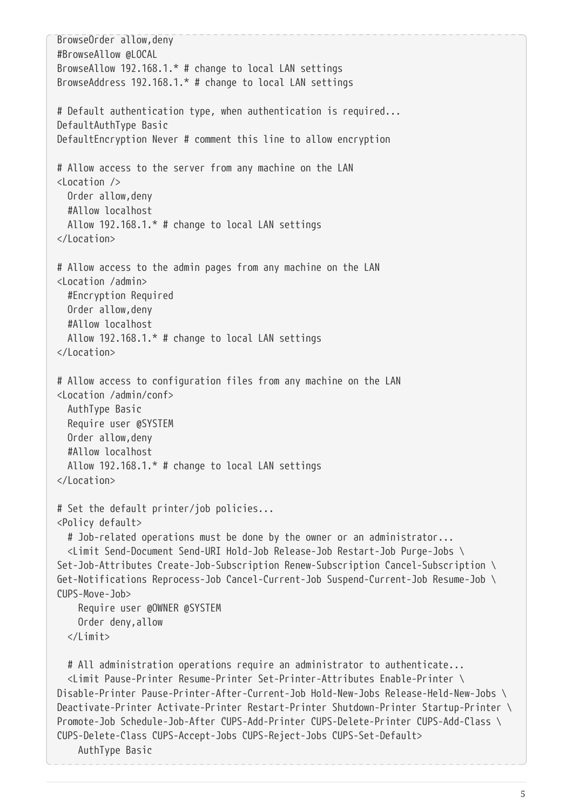BrowseOrder allow,deny #BrowseAllow @LOCAL BrowseAllow 192.168.1.\* # change to local LAN settings BrowseAddress 192.168.1.\* # change to local LAN settings # Default authentication type, when authentication is required... DefaultAuthType Basic DefaultEncryption Never # comment this line to allow encryption # Allow access to the server from any machine on the LAN <Location /> Order allow,deny #Allow localhost Allow 192.168.1.\* # change to local LAN settings </Location> # Allow access to the admin pages from any machine on the LAN <Location /admin> #Encryption Required Order allow,deny #Allow localhost Allow 192.168.1.\* # change to local LAN settings </Location> # Allow access to configuration files from any machine on the LAN <Location /admin/conf> AuthType Basic Require user @SYSTEM Order allow,deny #Allow localhost Allow 192.168.1.\* # change to local LAN settings </Location> # Set the default printer/job policies... <Policy default> # Job-related operations must be done by the owner or an administrator... <Limit Send-Document Send-URI Hold-Job Release-Job Restart-Job Purge-Jobs \ Set-Job-Attributes Create-Job-Subscription Renew-Subscription Cancel-Subscription \ Get-Notifications Reprocess-Job Cancel-Current-Job Suspend-Current-Job Resume-Job \ CUPS-Move-Job> Require user @OWNER @SYSTEM Order deny,allow  $\langle$ / $\rangle$  imit $>$  # All administration operations require an administrator to authenticate... <Limit Pause-Printer Resume-Printer Set-Printer-Attributes Enable-Printer \ Disable-Printer Pause-Printer-After-Current-Job Hold-New-Jobs Release-Held-New-Jobs \ Deactivate-Printer Activate-Printer Restart-Printer Shutdown-Printer Startup-Printer \ Promote-Job Schedule-Job-After CUPS-Add-Printer CUPS-Delete-Printer CUPS-Add-Class \ CUPS-Delete-Class CUPS-Accept-Jobs CUPS-Reject-Jobs CUPS-Set-Default> AuthType Basic